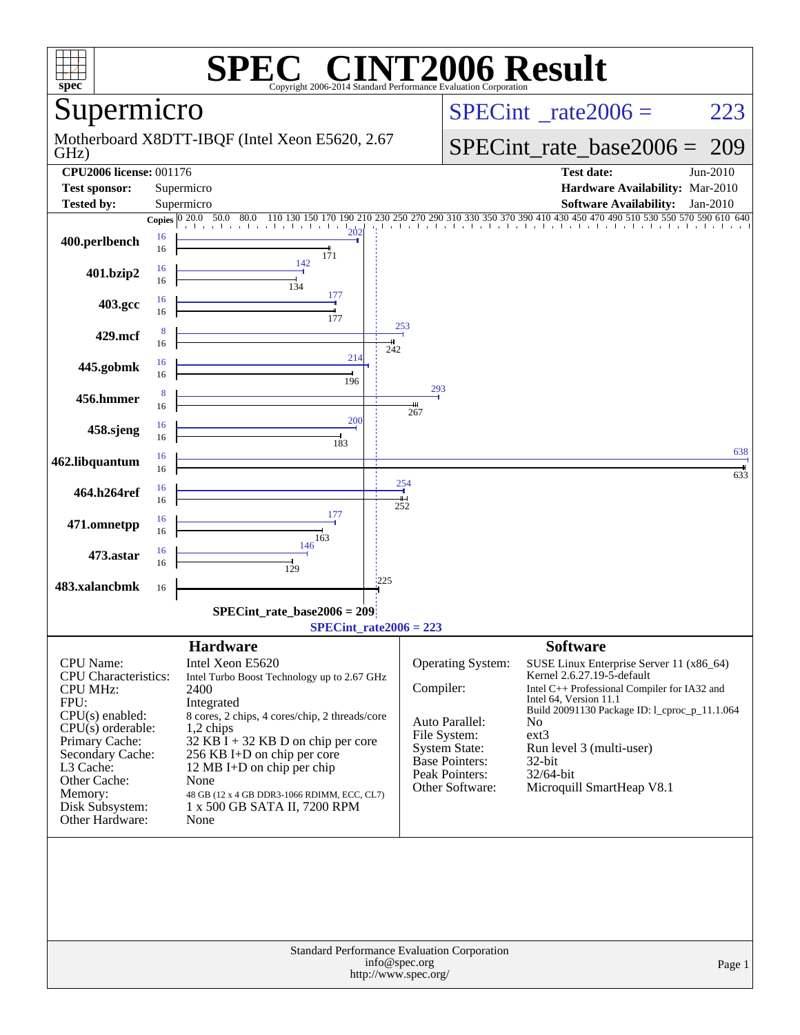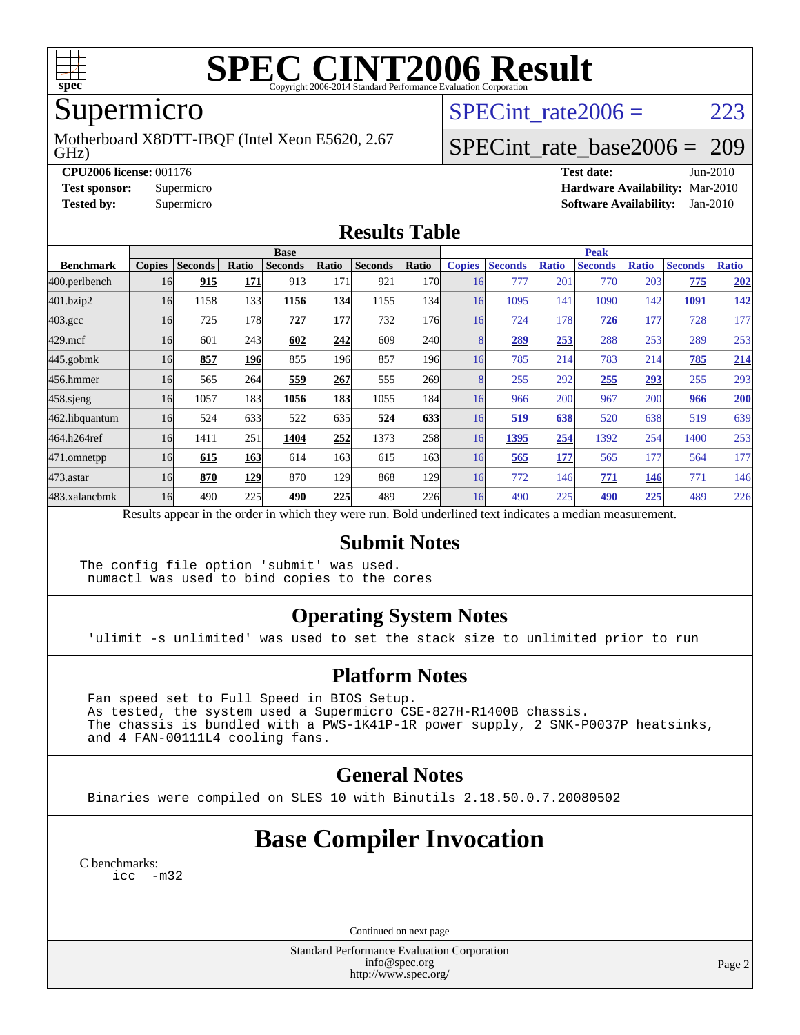

# Supermicro

GHz) Motherboard X8DTT-IBQF (Intel Xeon E5620, 2.67 SPECint rate $2006 = 223$ 

### [SPECint\\_rate\\_base2006 =](http://www.spec.org/auto/cpu2006/Docs/result-fields.html#SPECintratebase2006) 209

**[CPU2006 license:](http://www.spec.org/auto/cpu2006/Docs/result-fields.html#CPU2006license)** 001176 **[Test date:](http://www.spec.org/auto/cpu2006/Docs/result-fields.html#Testdate)** Jun-2010 **[Test sponsor:](http://www.spec.org/auto/cpu2006/Docs/result-fields.html#Testsponsor)** Supermicro **[Hardware Availability:](http://www.spec.org/auto/cpu2006/Docs/result-fields.html#HardwareAvailability)** Mar-2010 **[Tested by:](http://www.spec.org/auto/cpu2006/Docs/result-fields.html#Testedby)** Supermicro **[Software Availability:](http://www.spec.org/auto/cpu2006/Docs/result-fields.html#SoftwareAvailability)** Jan-2010

#### **[Results Table](http://www.spec.org/auto/cpu2006/Docs/result-fields.html#ResultsTable)**

|                  | <b>Base</b>   |                |       |                |       |                |              | <b>Peak</b>   |                |              |                                                                                                          |              |                |              |
|------------------|---------------|----------------|-------|----------------|-------|----------------|--------------|---------------|----------------|--------------|----------------------------------------------------------------------------------------------------------|--------------|----------------|--------------|
| <b>Benchmark</b> | <b>Copies</b> | <b>Seconds</b> | Ratio | <b>Seconds</b> | Ratio | <b>Seconds</b> | Ratio        | <b>Copies</b> | <b>Seconds</b> | <b>Ratio</b> | <b>Seconds</b>                                                                                           | <b>Ratio</b> | <b>Seconds</b> | <b>Ratio</b> |
| 400.perlbench    | 16            | 915            | 171   | 913            | 171   | 921            | 170 <b>I</b> | 16            | 777            | 201          | 770                                                                                                      | 203          | 775            | 202          |
| 401.bzip2        | 16            | 1158           | 133   | 1156           | 134   | 1155           | 134          | 16            | 1095           | 141          | 1090                                                                                                     | 142          | 1091           | <u>142</u>   |
| $403.\text{gcc}$ | 16            | 725            | 178   | 727            | 177   | 732            | 176          | 16            | 724            | 178          | 726                                                                                                      | <u>177</u>   | 728            | 177          |
| $429$ .mcf       | 16            | 601            | 243   | 602            | 242   | 609            | 240l         |               | 289            | 253          | 288                                                                                                      | 253          | 289            | 253          |
| $445$ .gobm $k$  | 16            | 857            | 196   | 855            | 196   | 857            | 196          | 16            | 785            | 214          | 783                                                                                                      | 214          | 785            | 214          |
| 456.hmmer        | 16            | 565            | 264   | 559            | 267   | 555            | <b>269</b>   |               | 255            | 292          | 255                                                                                                      | 293          | 255            | 293          |
| $458$ .sjeng     | 16            | 1057           | 183   | 1056           | 183   | 1055           | 184          | 16            | 966            | 200          | 967                                                                                                      | 200          | 966            | <b>200</b>   |
| 462.libquantum   | 16            | 524            | 633   | 522            | 635   | 524            | 633          | 16            | 519            | 638          | 520                                                                                                      | 638          | 519            | 639          |
| 464.h264ref      | 16            | 1411           | 251   | 1404           | 252   | 1373           | 258          | 16            | 1395           | 254          | 1392                                                                                                     | 254          | 1400           | 253          |
| 471.omnetpp      | 16            | 615            | 163   | 614            | 163   | 615            | 163          | 16            | 565            | 177          | 565                                                                                                      | 177          | 564            | 177          |
| 473.astar        | 16            | 870            | 129   | 870            | 129   | 868            | 129          | 16            | 772            | 146          | 771                                                                                                      | 146          | 771            | 146          |
| 483.xalancbmk    | 16            | 490            | 225   | 490            | 225   | 489            | 226          | 16            | 490            | 225          | 490                                                                                                      | 225          | 489            | 226          |
|                  |               |                |       |                |       |                |              |               |                |              | Results appear in the order in which they were run. Bold underlined text indicates a median measurement. |              |                |              |

#### **[Submit Notes](http://www.spec.org/auto/cpu2006/Docs/result-fields.html#SubmitNotes)**

The config file option 'submit' was used. numactl was used to bind copies to the cores

#### **[Operating System Notes](http://www.spec.org/auto/cpu2006/Docs/result-fields.html#OperatingSystemNotes)**

'ulimit -s unlimited' was used to set the stack size to unlimited prior to run

#### **[Platform Notes](http://www.spec.org/auto/cpu2006/Docs/result-fields.html#PlatformNotes)**

 Fan speed set to Full Speed in BIOS Setup. As tested, the system used a Supermicro CSE-827H-R1400B chassis. The chassis is bundled with a PWS-1K41P-1R power supply, 2 SNK-P0037P heatsinks, and 4 FAN-00111L4 cooling fans.

#### **[General Notes](http://www.spec.org/auto/cpu2006/Docs/result-fields.html#GeneralNotes)**

Binaries were compiled on SLES 10 with Binutils 2.18.50.0.7.20080502

## **[Base Compiler Invocation](http://www.spec.org/auto/cpu2006/Docs/result-fields.html#BaseCompilerInvocation)**

[C benchmarks](http://www.spec.org/auto/cpu2006/Docs/result-fields.html#Cbenchmarks): [icc -m32](http://www.spec.org/cpu2006/results/res2010q3/cpu2006-20100611-11698.flags.html#user_CCbase_intel_icc_32bit_5ff4a39e364c98233615fdd38438c6f2)

Continued on next page

Standard Performance Evaluation Corporation [info@spec.org](mailto:info@spec.org) <http://www.spec.org/>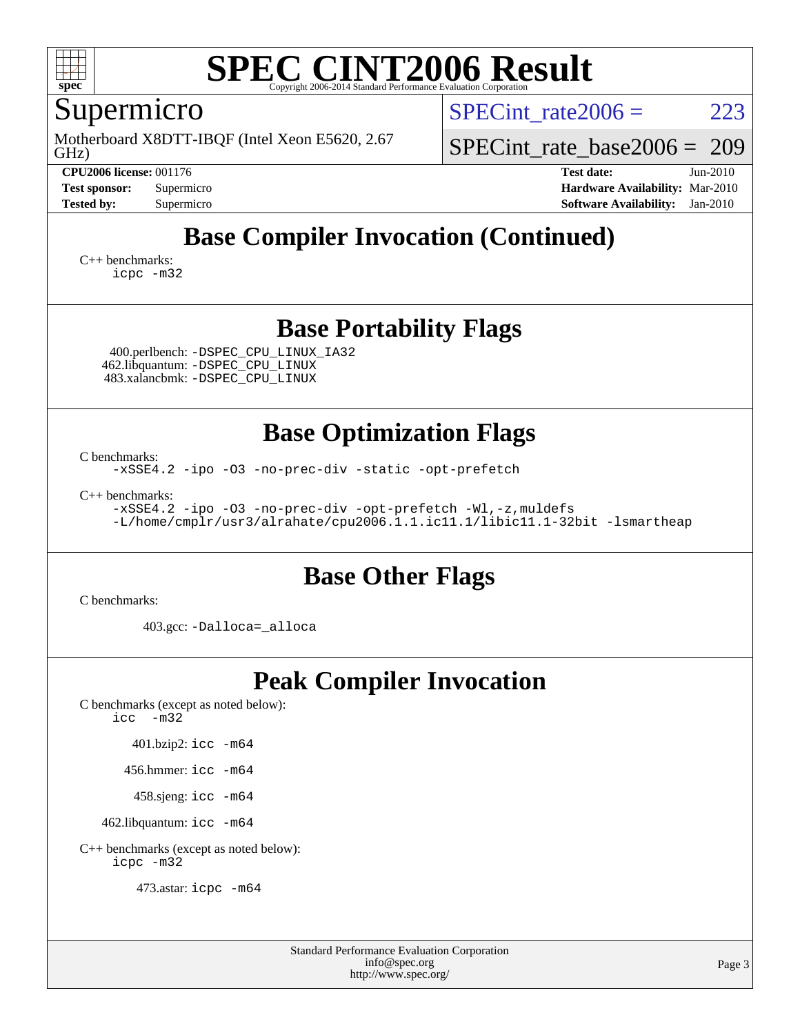

Supermicro

GHz) Motherboard X8DTT-IBQF (Intel Xeon E5620, 2.67 SPECint rate $2006 = 223$ 

[SPECint\\_rate\\_base2006 =](http://www.spec.org/auto/cpu2006/Docs/result-fields.html#SPECintratebase2006) 209

**[CPU2006 license:](http://www.spec.org/auto/cpu2006/Docs/result-fields.html#CPU2006license)** 001176 **[Test date:](http://www.spec.org/auto/cpu2006/Docs/result-fields.html#Testdate)** Jun-2010 **[Test sponsor:](http://www.spec.org/auto/cpu2006/Docs/result-fields.html#Testsponsor)** Supermicro **[Hardware Availability:](http://www.spec.org/auto/cpu2006/Docs/result-fields.html#HardwareAvailability)** Mar-2010 **[Tested by:](http://www.spec.org/auto/cpu2006/Docs/result-fields.html#Testedby)** Supermicro **[Software Availability:](http://www.spec.org/auto/cpu2006/Docs/result-fields.html#SoftwareAvailability)** Jan-2010

## **[Base Compiler Invocation \(Continued\)](http://www.spec.org/auto/cpu2006/Docs/result-fields.html#BaseCompilerInvocation)**

[C++ benchmarks:](http://www.spec.org/auto/cpu2006/Docs/result-fields.html#CXXbenchmarks) [icpc -m32](http://www.spec.org/cpu2006/results/res2010q3/cpu2006-20100611-11698.flags.html#user_CXXbase_intel_icpc_32bit_4e5a5ef1a53fd332b3c49e69c3330699)

#### **[Base Portability Flags](http://www.spec.org/auto/cpu2006/Docs/result-fields.html#BasePortabilityFlags)**

 400.perlbench: [-DSPEC\\_CPU\\_LINUX\\_IA32](http://www.spec.org/cpu2006/results/res2010q3/cpu2006-20100611-11698.flags.html#b400.perlbench_baseCPORTABILITY_DSPEC_CPU_LINUX_IA32) 462.libquantum: [-DSPEC\\_CPU\\_LINUX](http://www.spec.org/cpu2006/results/res2010q3/cpu2006-20100611-11698.flags.html#b462.libquantum_baseCPORTABILITY_DSPEC_CPU_LINUX) 483.xalancbmk: [-DSPEC\\_CPU\\_LINUX](http://www.spec.org/cpu2006/results/res2010q3/cpu2006-20100611-11698.flags.html#b483.xalancbmk_baseCXXPORTABILITY_DSPEC_CPU_LINUX)

#### **[Base Optimization Flags](http://www.spec.org/auto/cpu2006/Docs/result-fields.html#BaseOptimizationFlags)**

[C benchmarks](http://www.spec.org/auto/cpu2006/Docs/result-fields.html#Cbenchmarks):

[-xSSE4.2](http://www.spec.org/cpu2006/results/res2010q3/cpu2006-20100611-11698.flags.html#user_CCbase_f-xSSE42_f91528193cf0b216347adb8b939d4107) [-ipo](http://www.spec.org/cpu2006/results/res2010q3/cpu2006-20100611-11698.flags.html#user_CCbase_f-ipo) [-O3](http://www.spec.org/cpu2006/results/res2010q3/cpu2006-20100611-11698.flags.html#user_CCbase_f-O3) [-no-prec-div](http://www.spec.org/cpu2006/results/res2010q3/cpu2006-20100611-11698.flags.html#user_CCbase_f-no-prec-div) [-static](http://www.spec.org/cpu2006/results/res2010q3/cpu2006-20100611-11698.flags.html#user_CCbase_f-static) [-opt-prefetch](http://www.spec.org/cpu2006/results/res2010q3/cpu2006-20100611-11698.flags.html#user_CCbase_f-opt-prefetch)

[C++ benchmarks:](http://www.spec.org/auto/cpu2006/Docs/result-fields.html#CXXbenchmarks)

[-xSSE4.2](http://www.spec.org/cpu2006/results/res2010q3/cpu2006-20100611-11698.flags.html#user_CXXbase_f-xSSE42_f91528193cf0b216347adb8b939d4107) [-ipo](http://www.spec.org/cpu2006/results/res2010q3/cpu2006-20100611-11698.flags.html#user_CXXbase_f-ipo) [-O3](http://www.spec.org/cpu2006/results/res2010q3/cpu2006-20100611-11698.flags.html#user_CXXbase_f-O3) [-no-prec-div](http://www.spec.org/cpu2006/results/res2010q3/cpu2006-20100611-11698.flags.html#user_CXXbase_f-no-prec-div) [-opt-prefetch](http://www.spec.org/cpu2006/results/res2010q3/cpu2006-20100611-11698.flags.html#user_CXXbase_f-opt-prefetch) [-Wl,-z,muldefs](http://www.spec.org/cpu2006/results/res2010q3/cpu2006-20100611-11698.flags.html#user_CXXbase_link_force_multiple1_74079c344b956b9658436fd1b6dd3a8a) [-L/home/cmplr/usr3/alrahate/cpu2006.1.1.ic11.1/libic11.1-32bit -lsmartheap](http://www.spec.org/cpu2006/results/res2010q3/cpu2006-20100611-11698.flags.html#user_CXXbase_SmartHeap_d86dffe4a79b79ef8890d5cce17030c3)

### **[Base Other Flags](http://www.spec.org/auto/cpu2006/Docs/result-fields.html#BaseOtherFlags)**

[C benchmarks](http://www.spec.org/auto/cpu2006/Docs/result-fields.html#Cbenchmarks):

403.gcc: [-Dalloca=\\_alloca](http://www.spec.org/cpu2006/results/res2010q3/cpu2006-20100611-11698.flags.html#b403.gcc_baseEXTRA_CFLAGS_Dalloca_be3056838c12de2578596ca5467af7f3)

# **[Peak Compiler Invocation](http://www.spec.org/auto/cpu2006/Docs/result-fields.html#PeakCompilerInvocation)**

[C benchmarks \(except as noted below\)](http://www.spec.org/auto/cpu2006/Docs/result-fields.html#Cbenchmarksexceptasnotedbelow): [icc -m32](http://www.spec.org/cpu2006/results/res2010q3/cpu2006-20100611-11698.flags.html#user_CCpeak_intel_icc_32bit_5ff4a39e364c98233615fdd38438c6f2)

401.bzip2: [icc -m64](http://www.spec.org/cpu2006/results/res2010q3/cpu2006-20100611-11698.flags.html#user_peakCCLD401_bzip2_intel_icc_64bit_bda6cc9af1fdbb0edc3795bac97ada53)

456.hmmer: [icc -m64](http://www.spec.org/cpu2006/results/res2010q3/cpu2006-20100611-11698.flags.html#user_peakCCLD456_hmmer_intel_icc_64bit_bda6cc9af1fdbb0edc3795bac97ada53)

458.sjeng: [icc -m64](http://www.spec.org/cpu2006/results/res2010q3/cpu2006-20100611-11698.flags.html#user_peakCCLD458_sjeng_intel_icc_64bit_bda6cc9af1fdbb0edc3795bac97ada53)

462.libquantum: [icc -m64](http://www.spec.org/cpu2006/results/res2010q3/cpu2006-20100611-11698.flags.html#user_peakCCLD462_libquantum_intel_icc_64bit_bda6cc9af1fdbb0edc3795bac97ada53)

[C++ benchmarks \(except as noted below\):](http://www.spec.org/auto/cpu2006/Docs/result-fields.html#CXXbenchmarksexceptasnotedbelow) [icpc -m32](http://www.spec.org/cpu2006/results/res2010q3/cpu2006-20100611-11698.flags.html#user_CXXpeak_intel_icpc_32bit_4e5a5ef1a53fd332b3c49e69c3330699)

473.astar: [icpc -m64](http://www.spec.org/cpu2006/results/res2010q3/cpu2006-20100611-11698.flags.html#user_peakCXXLD473_astar_intel_icpc_64bit_fc66a5337ce925472a5c54ad6a0de310)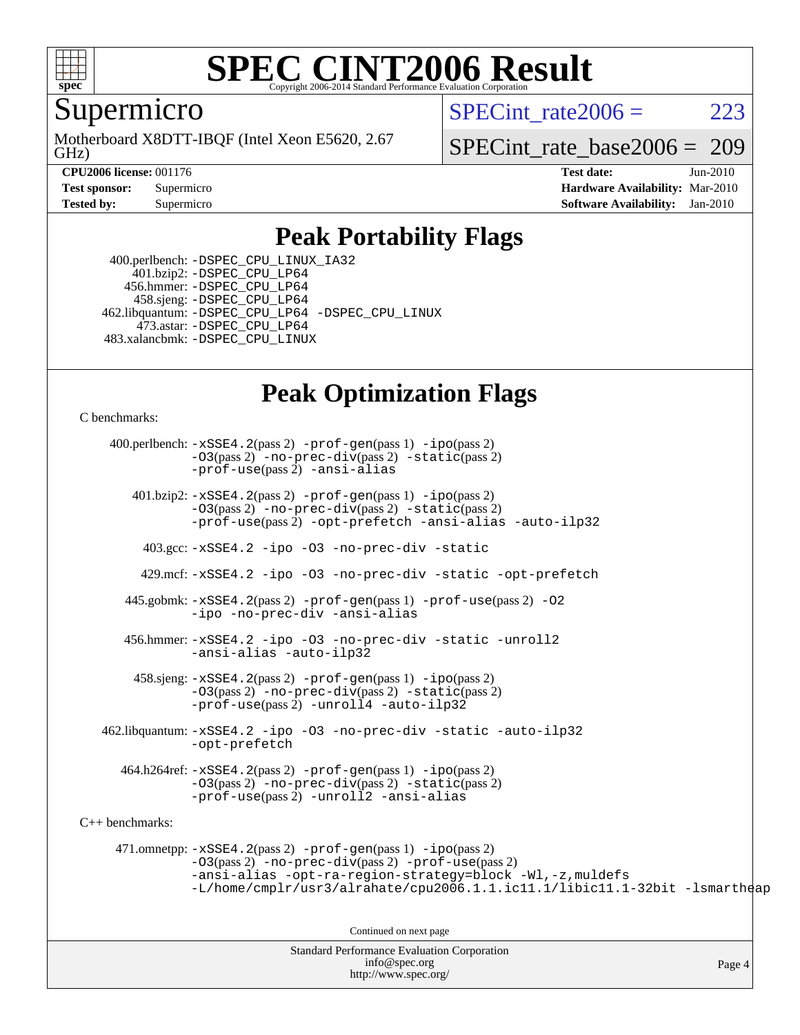

Supermicro

GHz) Motherboard X8DTT-IBQF (Intel Xeon E5620, 2.67 SPECint rate $2006 = 223$ 

[SPECint\\_rate\\_base2006 =](http://www.spec.org/auto/cpu2006/Docs/result-fields.html#SPECintratebase2006) 209

**[CPU2006 license:](http://www.spec.org/auto/cpu2006/Docs/result-fields.html#CPU2006license)** 001176 **[Test date:](http://www.spec.org/auto/cpu2006/Docs/result-fields.html#Testdate)** Jun-2010 **[Test sponsor:](http://www.spec.org/auto/cpu2006/Docs/result-fields.html#Testsponsor)** Supermicro **[Hardware Availability:](http://www.spec.org/auto/cpu2006/Docs/result-fields.html#HardwareAvailability)** Mar-2010 **[Tested by:](http://www.spec.org/auto/cpu2006/Docs/result-fields.html#Testedby)** Supermicro **[Software Availability:](http://www.spec.org/auto/cpu2006/Docs/result-fields.html#SoftwareAvailability)** Jan-2010

### **[Peak Portability Flags](http://www.spec.org/auto/cpu2006/Docs/result-fields.html#PeakPortabilityFlags)**

 400.perlbench: [-DSPEC\\_CPU\\_LINUX\\_IA32](http://www.spec.org/cpu2006/results/res2010q3/cpu2006-20100611-11698.flags.html#b400.perlbench_peakCPORTABILITY_DSPEC_CPU_LINUX_IA32) 401.bzip2: [-DSPEC\\_CPU\\_LP64](http://www.spec.org/cpu2006/results/res2010q3/cpu2006-20100611-11698.flags.html#suite_peakCPORTABILITY401_bzip2_DSPEC_CPU_LP64) 456.hmmer: [-DSPEC\\_CPU\\_LP64](http://www.spec.org/cpu2006/results/res2010q3/cpu2006-20100611-11698.flags.html#suite_peakCPORTABILITY456_hmmer_DSPEC_CPU_LP64) 458.sjeng: [-DSPEC\\_CPU\\_LP64](http://www.spec.org/cpu2006/results/res2010q3/cpu2006-20100611-11698.flags.html#suite_peakCPORTABILITY458_sjeng_DSPEC_CPU_LP64) 462.libquantum: [-DSPEC\\_CPU\\_LP64](http://www.spec.org/cpu2006/results/res2010q3/cpu2006-20100611-11698.flags.html#suite_peakCPORTABILITY462_libquantum_DSPEC_CPU_LP64) [-DSPEC\\_CPU\\_LINUX](http://www.spec.org/cpu2006/results/res2010q3/cpu2006-20100611-11698.flags.html#b462.libquantum_peakCPORTABILITY_DSPEC_CPU_LINUX) 473.astar: [-DSPEC\\_CPU\\_LP64](http://www.spec.org/cpu2006/results/res2010q3/cpu2006-20100611-11698.flags.html#suite_peakCXXPORTABILITY473_astar_DSPEC_CPU_LP64) 483.xalancbmk: [-DSPEC\\_CPU\\_LINUX](http://www.spec.org/cpu2006/results/res2010q3/cpu2006-20100611-11698.flags.html#b483.xalancbmk_peakCXXPORTABILITY_DSPEC_CPU_LINUX)

### **[Peak Optimization Flags](http://www.spec.org/auto/cpu2006/Docs/result-fields.html#PeakOptimizationFlags)**

[C benchmarks](http://www.spec.org/auto/cpu2006/Docs/result-fields.html#Cbenchmarks):

Standard Performance Evaluation Corporation 400.perlbench: [-xSSE4.2](http://www.spec.org/cpu2006/results/res2010q3/cpu2006-20100611-11698.flags.html#user_peakPASS2_CFLAGSPASS2_LDCFLAGS400_perlbench_f-xSSE42_f91528193cf0b216347adb8b939d4107)(pass 2) [-prof-gen](http://www.spec.org/cpu2006/results/res2010q3/cpu2006-20100611-11698.flags.html#user_peakPASS1_CFLAGSPASS1_LDCFLAGS400_perlbench_prof_gen_e43856698f6ca7b7e442dfd80e94a8fc)(pass 1) [-ipo](http://www.spec.org/cpu2006/results/res2010q3/cpu2006-20100611-11698.flags.html#user_peakPASS2_CFLAGSPASS2_LDCFLAGS400_perlbench_f-ipo)(pass 2) [-O3](http://www.spec.org/cpu2006/results/res2010q3/cpu2006-20100611-11698.flags.html#user_peakPASS2_CFLAGSPASS2_LDCFLAGS400_perlbench_f-O3)(pass 2) [-no-prec-div](http://www.spec.org/cpu2006/results/res2010q3/cpu2006-20100611-11698.flags.html#user_peakPASS2_CFLAGSPASS2_LDCFLAGS400_perlbench_f-no-prec-div)(pass 2) [-static](http://www.spec.org/cpu2006/results/res2010q3/cpu2006-20100611-11698.flags.html#user_peakPASS2_CFLAGSPASS2_LDCFLAGS400_perlbench_f-static)(pass 2) [-prof-use](http://www.spec.org/cpu2006/results/res2010q3/cpu2006-20100611-11698.flags.html#user_peakPASS2_CFLAGSPASS2_LDCFLAGS400_perlbench_prof_use_bccf7792157ff70d64e32fe3e1250b55)(pass 2) [-ansi-alias](http://www.spec.org/cpu2006/results/res2010q3/cpu2006-20100611-11698.flags.html#user_peakCOPTIMIZE400_perlbench_f-ansi-alias) 401.bzip2: [-xSSE4.2](http://www.spec.org/cpu2006/results/res2010q3/cpu2006-20100611-11698.flags.html#user_peakPASS2_CFLAGSPASS2_LDCFLAGS401_bzip2_f-xSSE42_f91528193cf0b216347adb8b939d4107)(pass 2) [-prof-gen](http://www.spec.org/cpu2006/results/res2010q3/cpu2006-20100611-11698.flags.html#user_peakPASS1_CFLAGSPASS1_LDCFLAGS401_bzip2_prof_gen_e43856698f6ca7b7e442dfd80e94a8fc)(pass 1) [-ipo](http://www.spec.org/cpu2006/results/res2010q3/cpu2006-20100611-11698.flags.html#user_peakPASS2_CFLAGSPASS2_LDCFLAGS401_bzip2_f-ipo)(pass 2) [-O3](http://www.spec.org/cpu2006/results/res2010q3/cpu2006-20100611-11698.flags.html#user_peakPASS2_CFLAGSPASS2_LDCFLAGS401_bzip2_f-O3)(pass 2) [-no-prec-div](http://www.spec.org/cpu2006/results/res2010q3/cpu2006-20100611-11698.flags.html#user_peakPASS2_CFLAGSPASS2_LDCFLAGS401_bzip2_f-no-prec-div)(pass 2) [-static](http://www.spec.org/cpu2006/results/res2010q3/cpu2006-20100611-11698.flags.html#user_peakPASS2_CFLAGSPASS2_LDCFLAGS401_bzip2_f-static)(pass 2) [-prof-use](http://www.spec.org/cpu2006/results/res2010q3/cpu2006-20100611-11698.flags.html#user_peakPASS2_CFLAGSPASS2_LDCFLAGS401_bzip2_prof_use_bccf7792157ff70d64e32fe3e1250b55)(pass 2) [-opt-prefetch](http://www.spec.org/cpu2006/results/res2010q3/cpu2006-20100611-11698.flags.html#user_peakCOPTIMIZE401_bzip2_f-opt-prefetch) [-ansi-alias](http://www.spec.org/cpu2006/results/res2010q3/cpu2006-20100611-11698.flags.html#user_peakCOPTIMIZE401_bzip2_f-ansi-alias) [-auto-ilp32](http://www.spec.org/cpu2006/results/res2010q3/cpu2006-20100611-11698.flags.html#user_peakCOPTIMIZE401_bzip2_f-auto-ilp32) 403.gcc: [-xSSE4.2](http://www.spec.org/cpu2006/results/res2010q3/cpu2006-20100611-11698.flags.html#user_peakCOPTIMIZE403_gcc_f-xSSE42_f91528193cf0b216347adb8b939d4107) [-ipo](http://www.spec.org/cpu2006/results/res2010q3/cpu2006-20100611-11698.flags.html#user_peakCOPTIMIZE403_gcc_f-ipo) [-O3](http://www.spec.org/cpu2006/results/res2010q3/cpu2006-20100611-11698.flags.html#user_peakCOPTIMIZE403_gcc_f-O3) [-no-prec-div](http://www.spec.org/cpu2006/results/res2010q3/cpu2006-20100611-11698.flags.html#user_peakCOPTIMIZE403_gcc_f-no-prec-div) [-static](http://www.spec.org/cpu2006/results/res2010q3/cpu2006-20100611-11698.flags.html#user_peakCOPTIMIZE403_gcc_f-static) 429.mcf: [-xSSE4.2](http://www.spec.org/cpu2006/results/res2010q3/cpu2006-20100611-11698.flags.html#user_peakCOPTIMIZE429_mcf_f-xSSE42_f91528193cf0b216347adb8b939d4107) [-ipo](http://www.spec.org/cpu2006/results/res2010q3/cpu2006-20100611-11698.flags.html#user_peakCOPTIMIZE429_mcf_f-ipo) [-O3](http://www.spec.org/cpu2006/results/res2010q3/cpu2006-20100611-11698.flags.html#user_peakCOPTIMIZE429_mcf_f-O3) [-no-prec-div](http://www.spec.org/cpu2006/results/res2010q3/cpu2006-20100611-11698.flags.html#user_peakCOPTIMIZE429_mcf_f-no-prec-div) [-static](http://www.spec.org/cpu2006/results/res2010q3/cpu2006-20100611-11698.flags.html#user_peakCOPTIMIZE429_mcf_f-static) [-opt-prefetch](http://www.spec.org/cpu2006/results/res2010q3/cpu2006-20100611-11698.flags.html#user_peakCOPTIMIZE429_mcf_f-opt-prefetch) 445.gobmk: [-xSSE4.2](http://www.spec.org/cpu2006/results/res2010q3/cpu2006-20100611-11698.flags.html#user_peakPASS2_CFLAGSPASS2_LDCFLAGS445_gobmk_f-xSSE42_f91528193cf0b216347adb8b939d4107)(pass 2) [-prof-gen](http://www.spec.org/cpu2006/results/res2010q3/cpu2006-20100611-11698.flags.html#user_peakPASS1_CFLAGSPASS1_LDCFLAGS445_gobmk_prof_gen_e43856698f6ca7b7e442dfd80e94a8fc)(pass 1) [-prof-use](http://www.spec.org/cpu2006/results/res2010q3/cpu2006-20100611-11698.flags.html#user_peakPASS2_CFLAGSPASS2_LDCFLAGS445_gobmk_prof_use_bccf7792157ff70d64e32fe3e1250b55)(pass 2) [-O2](http://www.spec.org/cpu2006/results/res2010q3/cpu2006-20100611-11698.flags.html#user_peakCOPTIMIZE445_gobmk_f-O2) [-ipo](http://www.spec.org/cpu2006/results/res2010q3/cpu2006-20100611-11698.flags.html#user_peakCOPTIMIZE445_gobmk_f-ipo) [-no-prec-div](http://www.spec.org/cpu2006/results/res2010q3/cpu2006-20100611-11698.flags.html#user_peakCOPTIMIZE445_gobmk_f-no-prec-div) [-ansi-alias](http://www.spec.org/cpu2006/results/res2010q3/cpu2006-20100611-11698.flags.html#user_peakCOPTIMIZE445_gobmk_f-ansi-alias) 456.hmmer: [-xSSE4.2](http://www.spec.org/cpu2006/results/res2010q3/cpu2006-20100611-11698.flags.html#user_peakCOPTIMIZE456_hmmer_f-xSSE42_f91528193cf0b216347adb8b939d4107) [-ipo](http://www.spec.org/cpu2006/results/res2010q3/cpu2006-20100611-11698.flags.html#user_peakCOPTIMIZE456_hmmer_f-ipo) [-O3](http://www.spec.org/cpu2006/results/res2010q3/cpu2006-20100611-11698.flags.html#user_peakCOPTIMIZE456_hmmer_f-O3) [-no-prec-div](http://www.spec.org/cpu2006/results/res2010q3/cpu2006-20100611-11698.flags.html#user_peakCOPTIMIZE456_hmmer_f-no-prec-div) [-static](http://www.spec.org/cpu2006/results/res2010q3/cpu2006-20100611-11698.flags.html#user_peakCOPTIMIZE456_hmmer_f-static) [-unroll2](http://www.spec.org/cpu2006/results/res2010q3/cpu2006-20100611-11698.flags.html#user_peakCOPTIMIZE456_hmmer_f-unroll_784dae83bebfb236979b41d2422d7ec2) [-ansi-alias](http://www.spec.org/cpu2006/results/res2010q3/cpu2006-20100611-11698.flags.html#user_peakCOPTIMIZE456_hmmer_f-ansi-alias) [-auto-ilp32](http://www.spec.org/cpu2006/results/res2010q3/cpu2006-20100611-11698.flags.html#user_peakCOPTIMIZE456_hmmer_f-auto-ilp32)  $458 \text{.}$  sjeng:  $-xSSE4$ .  $2(\text{pass 2})$  -prof-qen(pass 1) [-ipo](http://www.spec.org/cpu2006/results/res2010q3/cpu2006-20100611-11698.flags.html#user_peakPASS2_CFLAGSPASS2_LDCFLAGS458_sjeng_f-ipo)(pass 2) [-O3](http://www.spec.org/cpu2006/results/res2010q3/cpu2006-20100611-11698.flags.html#user_peakPASS2_CFLAGSPASS2_LDCFLAGS458_sjeng_f-O3)(pass 2) [-no-prec-div](http://www.spec.org/cpu2006/results/res2010q3/cpu2006-20100611-11698.flags.html#user_peakPASS2_CFLAGSPASS2_LDCFLAGS458_sjeng_f-no-prec-div)(pass 2) [-static](http://www.spec.org/cpu2006/results/res2010q3/cpu2006-20100611-11698.flags.html#user_peakPASS2_CFLAGSPASS2_LDCFLAGS458_sjeng_f-static)(pass 2) [-prof-use](http://www.spec.org/cpu2006/results/res2010q3/cpu2006-20100611-11698.flags.html#user_peakPASS2_CFLAGSPASS2_LDCFLAGS458_sjeng_prof_use_bccf7792157ff70d64e32fe3e1250b55)(pass 2) [-unroll4](http://www.spec.org/cpu2006/results/res2010q3/cpu2006-20100611-11698.flags.html#user_peakCOPTIMIZE458_sjeng_f-unroll_4e5e4ed65b7fd20bdcd365bec371b81f) [-auto-ilp32](http://www.spec.org/cpu2006/results/res2010q3/cpu2006-20100611-11698.flags.html#user_peakCOPTIMIZE458_sjeng_f-auto-ilp32) 462.libquantum: [-xSSE4.2](http://www.spec.org/cpu2006/results/res2010q3/cpu2006-20100611-11698.flags.html#user_peakCOPTIMIZE462_libquantum_f-xSSE42_f91528193cf0b216347adb8b939d4107) [-ipo](http://www.spec.org/cpu2006/results/res2010q3/cpu2006-20100611-11698.flags.html#user_peakCOPTIMIZE462_libquantum_f-ipo) [-O3](http://www.spec.org/cpu2006/results/res2010q3/cpu2006-20100611-11698.flags.html#user_peakCOPTIMIZE462_libquantum_f-O3) [-no-prec-div](http://www.spec.org/cpu2006/results/res2010q3/cpu2006-20100611-11698.flags.html#user_peakCOPTIMIZE462_libquantum_f-no-prec-div) [-static](http://www.spec.org/cpu2006/results/res2010q3/cpu2006-20100611-11698.flags.html#user_peakCOPTIMIZE462_libquantum_f-static) [-auto-ilp32](http://www.spec.org/cpu2006/results/res2010q3/cpu2006-20100611-11698.flags.html#user_peakCOPTIMIZE462_libquantum_f-auto-ilp32) [-opt-prefetch](http://www.spec.org/cpu2006/results/res2010q3/cpu2006-20100611-11698.flags.html#user_peakCOPTIMIZE462_libquantum_f-opt-prefetch) 464.h264ref: [-xSSE4.2](http://www.spec.org/cpu2006/results/res2010q3/cpu2006-20100611-11698.flags.html#user_peakPASS2_CFLAGSPASS2_LDCFLAGS464_h264ref_f-xSSE42_f91528193cf0b216347adb8b939d4107)(pass 2) [-prof-gen](http://www.spec.org/cpu2006/results/res2010q3/cpu2006-20100611-11698.flags.html#user_peakPASS1_CFLAGSPASS1_LDCFLAGS464_h264ref_prof_gen_e43856698f6ca7b7e442dfd80e94a8fc)(pass 1) [-ipo](http://www.spec.org/cpu2006/results/res2010q3/cpu2006-20100611-11698.flags.html#user_peakPASS2_CFLAGSPASS2_LDCFLAGS464_h264ref_f-ipo)(pass 2) [-O3](http://www.spec.org/cpu2006/results/res2010q3/cpu2006-20100611-11698.flags.html#user_peakPASS2_CFLAGSPASS2_LDCFLAGS464_h264ref_f-O3)(pass 2) [-no-prec-div](http://www.spec.org/cpu2006/results/res2010q3/cpu2006-20100611-11698.flags.html#user_peakPASS2_CFLAGSPASS2_LDCFLAGS464_h264ref_f-no-prec-div)(pass 2) [-static](http://www.spec.org/cpu2006/results/res2010q3/cpu2006-20100611-11698.flags.html#user_peakPASS2_CFLAGSPASS2_LDCFLAGS464_h264ref_f-static)(pass 2) [-prof-use](http://www.spec.org/cpu2006/results/res2010q3/cpu2006-20100611-11698.flags.html#user_peakPASS2_CFLAGSPASS2_LDCFLAGS464_h264ref_prof_use_bccf7792157ff70d64e32fe3e1250b55)(pass 2) [-unroll2](http://www.spec.org/cpu2006/results/res2010q3/cpu2006-20100611-11698.flags.html#user_peakCOPTIMIZE464_h264ref_f-unroll_784dae83bebfb236979b41d2422d7ec2) [-ansi-alias](http://www.spec.org/cpu2006/results/res2010q3/cpu2006-20100611-11698.flags.html#user_peakCOPTIMIZE464_h264ref_f-ansi-alias) [C++ benchmarks:](http://www.spec.org/auto/cpu2006/Docs/result-fields.html#CXXbenchmarks) 471.omnetpp: [-xSSE4.2](http://www.spec.org/cpu2006/results/res2010q3/cpu2006-20100611-11698.flags.html#user_peakPASS2_CXXFLAGSPASS2_LDCXXFLAGS471_omnetpp_f-xSSE42_f91528193cf0b216347adb8b939d4107)(pass 2) [-prof-gen](http://www.spec.org/cpu2006/results/res2010q3/cpu2006-20100611-11698.flags.html#user_peakPASS1_CXXFLAGSPASS1_LDCXXFLAGS471_omnetpp_prof_gen_e43856698f6ca7b7e442dfd80e94a8fc)(pass 1) [-ipo](http://www.spec.org/cpu2006/results/res2010q3/cpu2006-20100611-11698.flags.html#user_peakPASS2_CXXFLAGSPASS2_LDCXXFLAGS471_omnetpp_f-ipo)(pass 2) [-O3](http://www.spec.org/cpu2006/results/res2010q3/cpu2006-20100611-11698.flags.html#user_peakPASS2_CXXFLAGSPASS2_LDCXXFLAGS471_omnetpp_f-O3)(pass 2) [-no-prec-div](http://www.spec.org/cpu2006/results/res2010q3/cpu2006-20100611-11698.flags.html#user_peakPASS2_CXXFLAGSPASS2_LDCXXFLAGS471_omnetpp_f-no-prec-div)(pass 2) [-prof-use](http://www.spec.org/cpu2006/results/res2010q3/cpu2006-20100611-11698.flags.html#user_peakPASS2_CXXFLAGSPASS2_LDCXXFLAGS471_omnetpp_prof_use_bccf7792157ff70d64e32fe3e1250b55)(pass 2) [-ansi-alias](http://www.spec.org/cpu2006/results/res2010q3/cpu2006-20100611-11698.flags.html#user_peakCXXOPTIMIZE471_omnetpp_f-ansi-alias) [-opt-ra-region-strategy=block](http://www.spec.org/cpu2006/results/res2010q3/cpu2006-20100611-11698.flags.html#user_peakCXXOPTIMIZE471_omnetpp_f-opt-ra-region-strategy-block_a0a37c372d03933b2a18d4af463c1f69) [-Wl,-z,muldefs](http://www.spec.org/cpu2006/results/res2010q3/cpu2006-20100611-11698.flags.html#user_peakEXTRA_LDFLAGS471_omnetpp_link_force_multiple1_74079c344b956b9658436fd1b6dd3a8a) [-L/home/cmplr/usr3/alrahate/cpu2006.1.1.ic11.1/libic11.1-32bit -lsmartheap](http://www.spec.org/cpu2006/results/res2010q3/cpu2006-20100611-11698.flags.html#user_peakEXTRA_LIBS471_omnetpp_SmartHeap_d86dffe4a79b79ef8890d5cce17030c3) Continued on next page

[info@spec.org](mailto:info@spec.org) <http://www.spec.org/>

Page 4